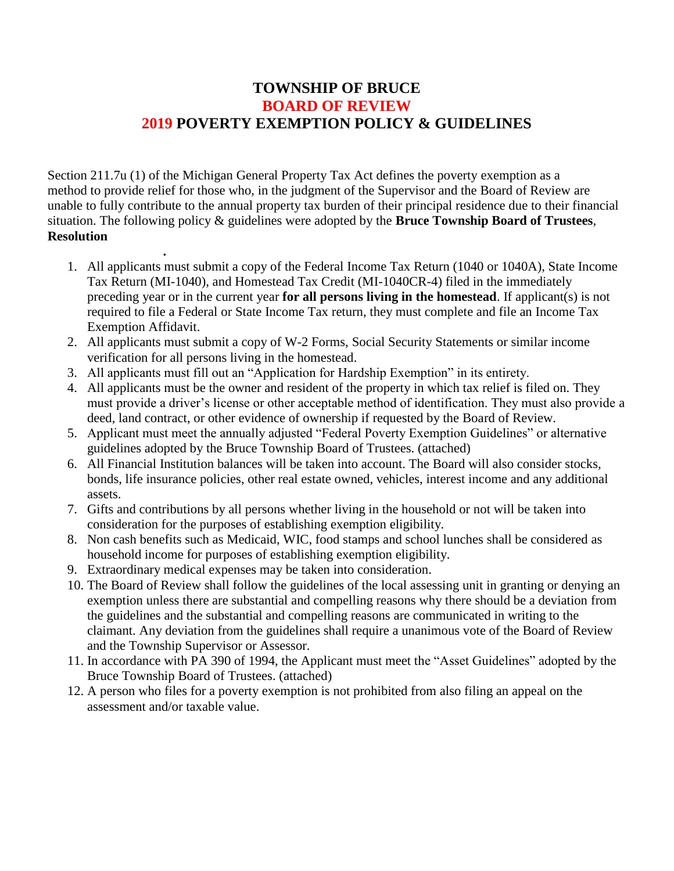## **TOWNSHIP OF BRUCE BOARD OF REVIEW 2019 POVERTY EXEMPTION POLICY & GUIDELINES**

Section 211.7u (1) of the Michigan General Property Tax Act defines the poverty exemption as a method to provide relief for those who, in the judgment of the Supervisor and the Board of Review are unable to fully contribute to the annual property tax burden of their principal residence due to their financial situation. The following policy & guidelines were adopted by the **Bruce Township Board of Trustees**, **Resolution** 

- 1. All applicants must submit a copy of the Federal Income Tax Return (1040 or 1040A), State Income Tax Return (MI-1040), and Homestead Tax Credit (MI-1040CR-4) filed in the immediately preceding year or in the current year **for all persons living in the homestead**. If applicant(s) is not required to file a Federal or State Income Tax return, they must complete and file an Income Tax Exemption Affidavit.
- 2. All applicants must submit a copy of W-2 Forms, Social Security Statements or similar income verification for all persons living in the homestead.
- 3. All applicants must fill out an "Application for Hardship Exemption" in its entirety.
- 4. All applicants must be the owner and resident of the property in which tax relief is filed on. They must provide a driver's license or other acceptable method of identification. They must also provide a deed, land contract, or other evidence of ownership if requested by the Board of Review.
- 5. Applicant must meet the annually adjusted "Federal Poverty Exemption Guidelines" or alternative guidelines adopted by the Bruce Township Board of Trustees. (attached)
- 6. All Financial Institution balances will be taken into account. The Board will also consider stocks, bonds, life insurance policies, other real estate owned, vehicles, interest income and any additional assets.
- 7. Gifts and contributions by all persons whether living in the household or not will be taken into consideration for the purposes of establishing exemption eligibility.
- 8. Non cash benefits such as Medicaid, WIC, food stamps and school lunches shall be considered as household income for purposes of establishing exemption eligibility.
- 9. Extraordinary medical expenses may be taken into consideration.

 **.**

- 10. The Board of Review shall follow the guidelines of the local assessing unit in granting or denying an exemption unless there are substantial and compelling reasons why there should be a deviation from the guidelines and the substantial and compelling reasons are communicated in writing to the claimant. Any deviation from the guidelines shall require a unanimous vote of the Board of Review and the Township Supervisor or Assessor.
- 11. In accordance with PA 390 of 1994, the Applicant must meet the "Asset Guidelines" adopted by the Bruce Township Board of Trustees. (attached)
- 12. A person who files for a poverty exemption is not prohibited from also filing an appeal on the assessment and/or taxable value.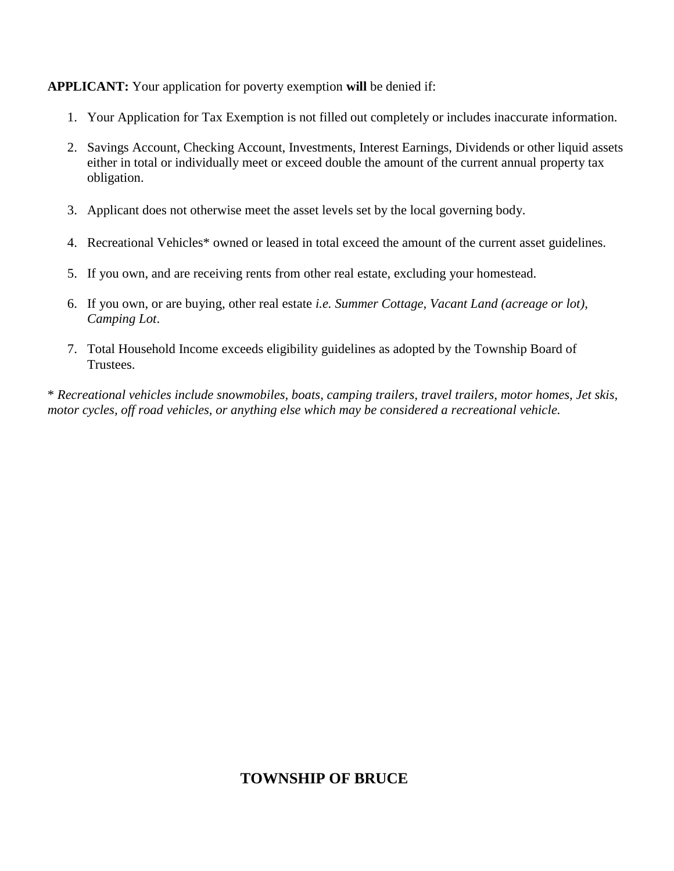**APPLICANT:** Your application for poverty exemption **will** be denied if:

- 1. Your Application for Tax Exemption is not filled out completely or includes inaccurate information.
- 2. Savings Account, Checking Account, Investments, Interest Earnings, Dividends or other liquid assets either in total or individually meet or exceed double the amount of the current annual property tax obligation.
- 3. Applicant does not otherwise meet the asset levels set by the local governing body.
- 4. Recreational Vehicles\* owned or leased in total exceed the amount of the current asset guidelines.
- 5. If you own, and are receiving rents from other real estate, excluding your homestead.
- 6. If you own, or are buying, other real estate *i.e. Summer Cottage, Vacant Land (acreage or lot), Camping Lot*.
- 7. Total Household Income exceeds eligibility guidelines as adopted by the Township Board of Trustees.

\* *Recreational vehicles include snowmobiles, boats, camping trailers, travel trailers, motor homes, Jet skis, motor cycles, off road vehicles, or anything else which may be considered a recreational vehicle.*

# **TOWNSHIP OF BRUCE**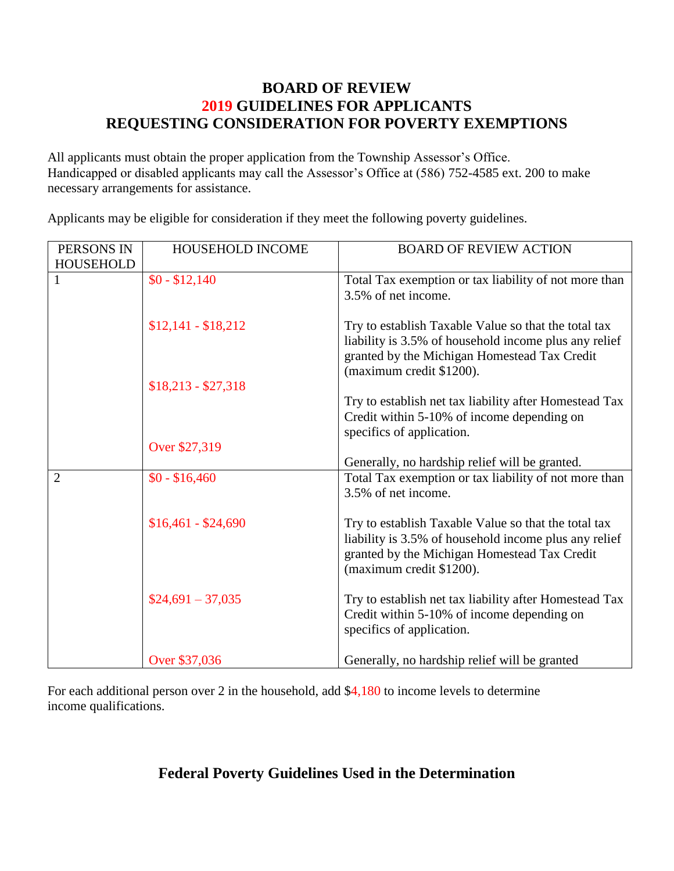### **BOARD OF REVIEW 2019 GUIDELINES FOR APPLICANTS REQUESTING CONSIDERATION FOR POVERTY EXEMPTIONS**

All applicants must obtain the proper application from the Township Assessor's Office. Handicapped or disabled applicants may call the Assessor's Office at (586) 752-4585 ext. 200 to make necessary arrangements for assistance.

Applicants may be eligible for consideration if they meet the following poverty guidelines.

| PERSONS IN<br><b>HOUSEHOLD</b> | HOUSEHOLD INCOME    | <b>BOARD OF REVIEW ACTION</b>                                                                                                                                                             |
|--------------------------------|---------------------|-------------------------------------------------------------------------------------------------------------------------------------------------------------------------------------------|
|                                | $$0 - $12,140$      | Total Tax exemption or tax liability of not more than<br>3.5% of net income.                                                                                                              |
|                                | $$12,141 - $18,212$ | Try to establish Taxable Value so that the total tax<br>liability is 3.5% of household income plus any relief<br>granted by the Michigan Homestead Tax Credit<br>(maximum credit \$1200). |
|                                | $$18,213 - $27,318$ |                                                                                                                                                                                           |
|                                |                     | Try to establish net tax liability after Homestead Tax<br>Credit within 5-10% of income depending on<br>specifics of application.                                                         |
|                                | Over \$27,319       |                                                                                                                                                                                           |
|                                |                     | Generally, no hardship relief will be granted.                                                                                                                                            |
| $\overline{2}$                 | $$0 - $16,460$      | Total Tax exemption or tax liability of not more than<br>3.5% of net income.                                                                                                              |
|                                | $$16,461 - $24,690$ | Try to establish Taxable Value so that the total tax<br>liability is 3.5% of household income plus any relief<br>granted by the Michigan Homestead Tax Credit<br>(maximum credit \$1200). |
|                                | $$24,691 - 37,035$  | Try to establish net tax liability after Homestead Tax<br>Credit within 5-10% of income depending on<br>specifics of application.                                                         |
|                                | Over \$37,036       | Generally, no hardship relief will be granted                                                                                                                                             |

For each additional person over 2 in the household, add \$4,180 to income levels to determine income qualifications.

# **Federal Poverty Guidelines Used in the Determination**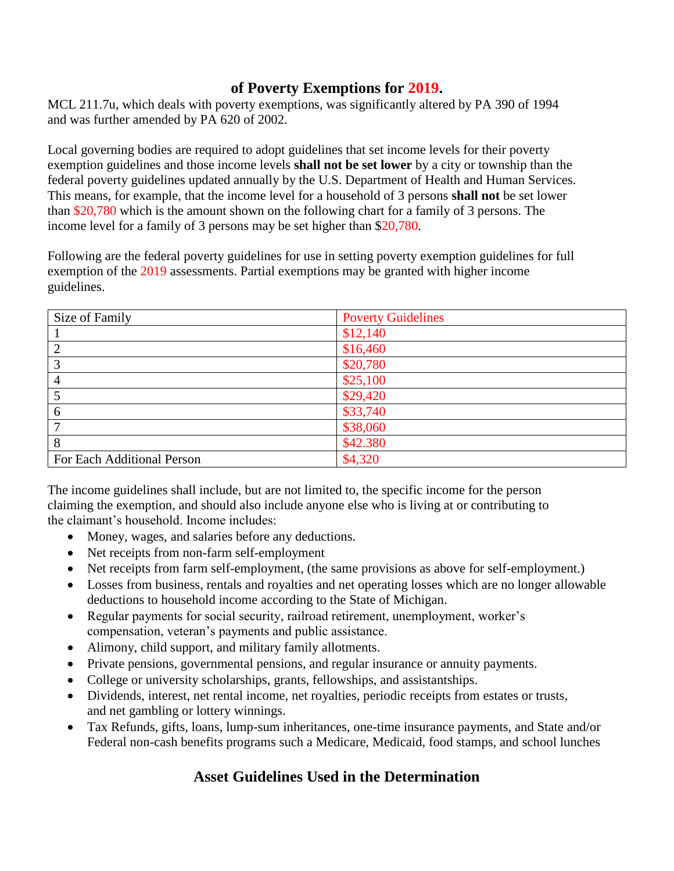#### **of Poverty Exemptions for 2019.**

MCL 211.7u, which deals with poverty exemptions, was significantly altered by PA 390 of 1994 and was further amended by PA 620 of 2002.

Local governing bodies are required to adopt guidelines that set income levels for their poverty exemption guidelines and those income levels **shall not be set lower** by a city or township than the federal poverty guidelines updated annually by the U.S. Department of Health and Human Services. This means, for example, that the income level for a household of 3 persons **shall not** be set lower than \$20,780 which is the amount shown on the following chart for a family of 3 persons. The income level for a family of 3 persons may be set higher than \$20,780.

Following are the federal poverty guidelines for use in setting poverty exemption guidelines for full exemption of the 2019 assessments. Partial exemptions may be granted with higher income guidelines.

| Size of Family             | <b>Poverty Guidelines</b> |
|----------------------------|---------------------------|
|                            | \$12,140                  |
|                            | \$16,460                  |
| 3                          | \$20,780                  |
| 4                          | \$25,100                  |
|                            | \$29,420                  |
| 6                          | \$33,740                  |
|                            | \$38,060                  |
| 8                          | \$42.380                  |
| For Each Additional Person | \$4,320                   |

The income guidelines shall include, but are not limited to, the specific income for the person claiming the exemption, and should also include anyone else who is living at or contributing to the claimant's household. Income includes:

- Money, wages, and salaries before any deductions.
- Net receipts from non-farm self-employment
- Net receipts from farm self-employment, (the same provisions as above for self-employment.)
- Losses from business, rentals and royalties and net operating losses which are no longer allowable deductions to household income according to the State of Michigan.
- Regular payments for social security, railroad retirement, unemployment, worker's compensation, veteran's payments and public assistance.
- Alimony, child support, and military family allotments.
- Private pensions, governmental pensions, and regular insurance or annuity payments.
- College or university scholarships, grants, fellowships, and assistantships.
- Dividends, interest, net rental income, net royalties, periodic receipts from estates or trusts, and net gambling or lottery winnings.
- Tax Refunds, gifts, loans, lump-sum inheritances, one-time insurance payments, and State and/or Federal non-cash benefits programs such a Medicare, Medicaid, food stamps, and school lunches

# **Asset Guidelines Used in the Determination**